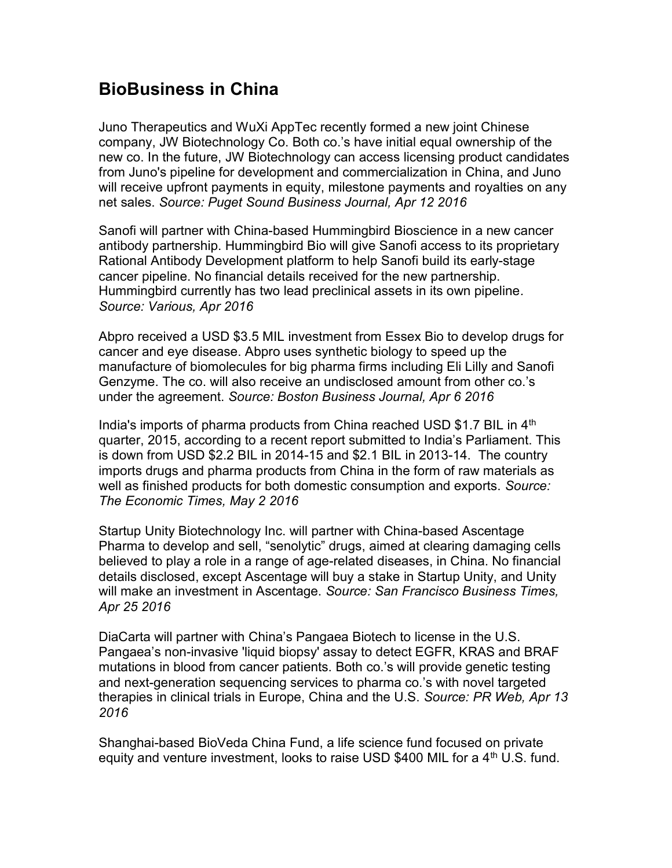## BioBusiness in China

Juno Therapeutics and WuXi AppTec recently formed a new joint Chinese company, JW Biotechnology Co. Both co.'s have initial equal ownership of the new co. In the future, JW Biotechnology can access licensing product candidates from Juno's pipeline for development and commercialization in China, and Juno will receive upfront payments in equity, milestone payments and royalties on any net sales. Source: Puget Sound Business Journal, Apr 12 2016

Sanofi will partner with China-based Hummingbird Bioscience in a new cancer antibody partnership. Hummingbird Bio will give Sanofi access to its proprietary Rational Antibody Development platform to help Sanofi build its early-stage cancer pipeline. No financial details received for the new partnership. Hummingbird currently has two lead preclinical assets in its own pipeline. Source: Various, Apr 2016

Abpro received a USD \$3.5 MIL investment from Essex Bio to develop drugs for cancer and eye disease. Abpro uses synthetic biology to speed up the manufacture of biomolecules for big pharma firms including Eli Lilly and Sanofi Genzyme. The co. will also receive an undisclosed amount from other co.'s under the agreement. Source: Boston Business Journal, Apr 6 2016

India's imports of pharma products from China reached USD \$1.7 BIL in  $4<sup>th</sup>$ quarter, 2015, according to a recent report submitted to India's Parliament. This is down from USD \$2.2 BIL in 2014-15 and \$2.1 BIL in 2013-14. The country imports drugs and pharma products from China in the form of raw materials as well as finished products for both domestic consumption and exports. Source: The Economic Times, May 2 2016

Startup Unity Biotechnology Inc. will partner with China-based Ascentage Pharma to develop and sell, "senolytic" drugs, aimed at clearing damaging cells believed to play a role in a range of age-related diseases, in China. No financial details disclosed, except Ascentage will buy a stake in Startup Unity, and Unity will make an investment in Ascentage. Source: San Francisco Business Times, Apr 25 2016

DiaCarta will partner with China's Pangaea Biotech to license in the U.S. Pangaea's non-invasive 'liquid biopsy' assay to detect EGFR, KRAS and BRAF mutations in blood from cancer patients. Both co.'s will provide genetic testing and next-generation sequencing services to pharma co.'s with novel targeted therapies in clinical trials in Europe, China and the U.S. Source: PR Web, Apr 13 2016

Shanghai-based BioVeda China Fund, a life science fund focused on private equity and venture investment, looks to raise USD \$400 MIL for a  $4<sup>th</sup>$  U.S. fund.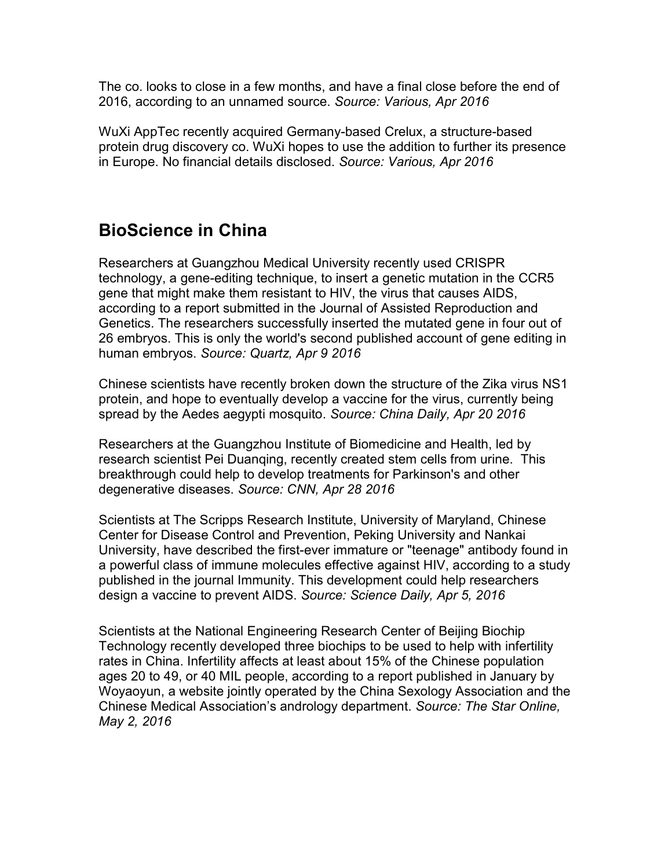The co. looks to close in a few months, and have a final close before the end of 2016, according to an unnamed source. Source: Various, Apr 2016

WuXi AppTec recently acquired Germany-based Crelux, a structure-based protein drug discovery co. WuXi hopes to use the addition to further its presence in Europe. No financial details disclosed. Source: Various, Apr 2016

## BioScience in China

Researchers at Guangzhou Medical University recently used CRISPR technology, a gene-editing technique, to insert a genetic mutation in the CCR5 gene that might make them resistant to HIV, the virus that causes AIDS, according to a report submitted in the Journal of Assisted Reproduction and Genetics. The researchers successfully inserted the mutated gene in four out of 26 embryos. This is only the world's second published account of gene editing in human embryos. Source: Quartz, Apr 9 2016

Chinese scientists have recently broken down the structure of the Zika virus NS1 protein, and hope to eventually develop a vaccine for the virus, currently being spread by the Aedes aegypti mosquito. Source: China Daily, Apr 20 2016

Researchers at the Guangzhou Institute of Biomedicine and Health, led by research scientist Pei Duanqing, recently created stem cells from urine. This breakthrough could help to develop treatments for Parkinson's and other degenerative diseases. Source: CNN, Apr 28 2016

Scientists at The Scripps Research Institute, University of Maryland, Chinese Center for Disease Control and Prevention, Peking University and Nankai University, have described the first-ever immature or "teenage" antibody found in a powerful class of immune molecules effective against HIV, according to a study published in the journal Immunity. This development could help researchers design a vaccine to prevent AIDS. Source: Science Daily, Apr 5, 2016

Scientists at the National Engineering Research Center of Beijing Biochip Technology recently developed three biochips to be used to help with infertility rates in China. Infertility affects at least about 15% of the Chinese population ages 20 to 49, or 40 MIL people, according to a report published in January by Woyaoyun, a website jointly operated by the China Sexology Association and the Chinese Medical Association's andrology department. Source: The Star Online, May 2, 2016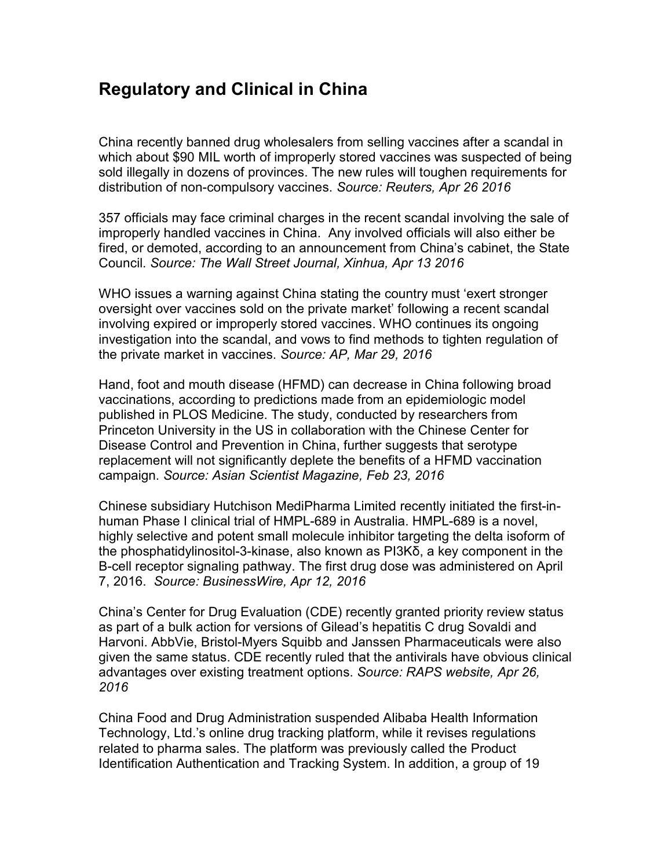## Regulatory and Clinical in China

China recently banned drug wholesalers from selling vaccines after a scandal in which about \$90 MIL worth of improperly stored vaccines was suspected of being sold illegally in dozens of provinces. The new rules will toughen requirements for distribution of non-compulsory vaccines. Source: Reuters, Apr 26 2016

357 officials may face criminal charges in the recent scandal involving the sale of improperly handled vaccines in China. Any involved officials will also either be fired, or demoted, according to an announcement from China's cabinet, the State Council. Source: The Wall Street Journal, Xinhua, Apr 13 2016

WHO issues a warning against China stating the country must 'exert stronger oversight over vaccines sold on the private market' following a recent scandal involving expired or improperly stored vaccines. WHO continues its ongoing investigation into the scandal, and vows to find methods to tighten regulation of the private market in vaccines. Source: AP, Mar 29, 2016

Hand, foot and mouth disease (HFMD) can decrease in China following broad vaccinations, according to predictions made from an epidemiologic model published in PLOS Medicine. The study, conducted by researchers from Princeton University in the US in collaboration with the Chinese Center for Disease Control and Prevention in China, further suggests that serotype replacement will not significantly deplete the benefits of a HFMD vaccination campaign. Source: Asian Scientist Magazine, Feb 23, 2016

Chinese subsidiary Hutchison MediPharma Limited recently initiated the first-inhuman Phase I clinical trial of HMPL-689 in Australia. HMPL-689 is a novel, highly selective and potent small molecule inhibitor targeting the delta isoform of the phosphatidylinositol-3-kinase, also known as PI3Kδ, a key component in the B-cell receptor signaling pathway. The first drug dose was administered on April 7, 2016. Source: BusinessWire, Apr 12, 2016

China's Center for Drug Evaluation (CDE) recently granted priority review status as part of a bulk action for versions of Gilead's hepatitis C drug Sovaldi and Harvoni. AbbVie, Bristol-Myers Squibb and Janssen Pharmaceuticals were also given the same status. CDE recently ruled that the antivirals have obvious clinical advantages over existing treatment options. Source: RAPS website, Apr 26, 2016

China Food and Drug Administration suspended Alibaba Health Information Technology, Ltd.'s online drug tracking platform, while it revises regulations related to pharma sales. The platform was previously called the Product Identification Authentication and Tracking System. In addition, a group of 19